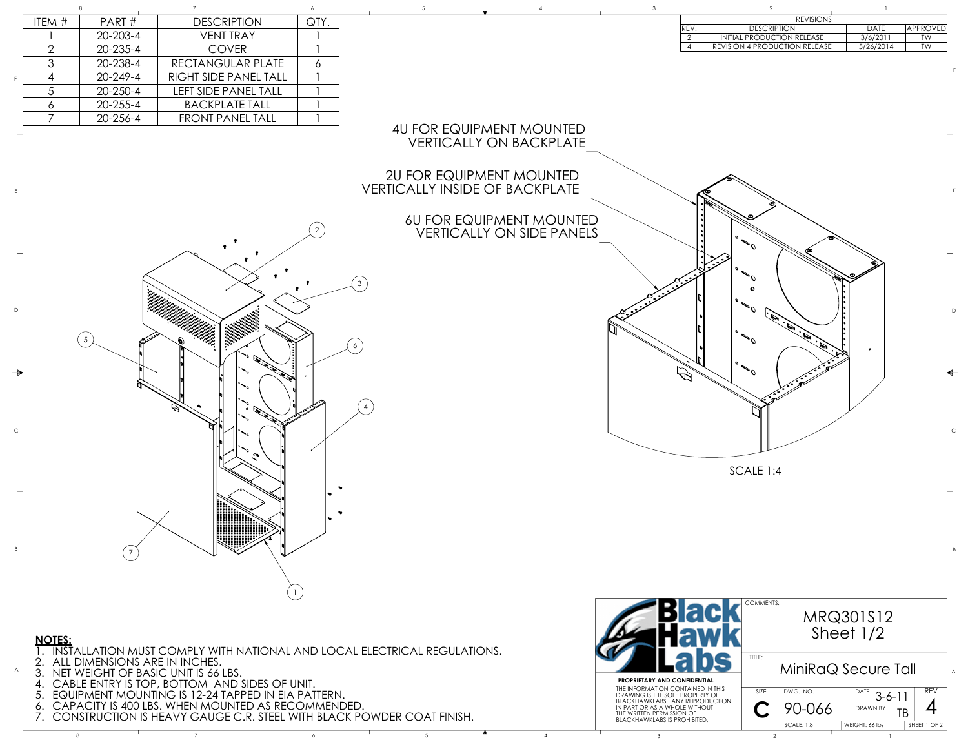

## 4U FOR EQUIPMENT MOUNTED VERTICALLY ON BACKPLATE

## 2U FOR EQUIPMENT MOUNTED VERTICALLY INSIDE OF BACKPLATE

## 6U FOR EQUIPMENT MOUNTED VERTICALLY ON SIDE PANELS

## **NOTES:**

- 1. INSTALLATION MUST COMPLY WITH NATIONAL AND LOCAL ELECTRICAL REGULATIONS.
- 2. ALL DIMENSIONS ARE IN INCHES.
- 3. NET WEIGHT OF BASIC UNIT IS 66 LBS.
- 4. CABLE ENTRY IS TOP, BOTTOM AND SIDES OF UNIT.
- 5. EQUIPMENT MOUNTING IS 12-24 TAPPED IN EIA PATTERN.
- 6. CAPACITY IS 400 LBS. WHEN MOUNTED AS RECOMMENDED.
- 7. CONSTRUCTION IS HEAVY GAUGE C.R. STEEL WITH BLACK POWDER COAT FINISH.

| <b>REVISIONS</b> |                                      |             |          |  |  |  |  |  |
|------------------|--------------------------------------|-------------|----------|--|--|--|--|--|
| <b>REV</b>       | <b>DESCRIPTION</b>                   | <b>DATE</b> | approved |  |  |  |  |  |
| $\sqrt{2}$       | INITIAL PRODUCTION RELEASE           | 3/6/2011    | TW       |  |  |  |  |  |
| 4                | <b>REVISION 4 PRODUCTION RELEASE</b> | 5/26/2014   | TW       |  |  |  |  |  |
|                  |                                      |             |          |  |  |  |  |  |

| ITEM $#$ | PART#          | <b>DESCRIPTION</b>          | QTY.     |  |                            |             | REVISIONS                         |             |
|----------|----------------|-----------------------------|----------|--|----------------------------|-------------|-----------------------------------|-------------|
|          |                |                             |          |  |                            | <b>REV.</b> | <b>DESCRIPTION</b>                | <b>DATE</b> |
|          | $20 - 203 - 4$ | <b>VENT TRAY</b>            |          |  |                            |             | <b>INITIAL PRODUCTION RELEASE</b> | 3/6/201     |
|          | $20 - 235 - 4$ | <b>COVER</b>                |          |  |                            |             | REVISION 4 PRODUCTION RELEASE     | 5/26/20     |
|          | 20-238-4       | RECTANGULAR PLATE           | $\sigma$ |  |                            |             |                                   |             |
|          | $20 - 249 - 4$ | RIGHT SIDE PANEL TALL       |          |  |                            |             |                                   |             |
|          | $20 - 250 - 4$ | <b>LEFT SIDE PANEL TALL</b> |          |  |                            |             |                                   |             |
|          | $20 - 255 - 4$ | <b>BACKPLATE TALL</b>       |          |  |                            |             |                                   |             |
|          | $20 - 256 - 4$ | <b>FRONT PANEL TALL</b>     |          |  |                            |             |                                   |             |
|          |                |                             |          |  | ALL EOD EOUDMAINT MOUNITED |             |                                   |             |

A

B

C

D



E

F